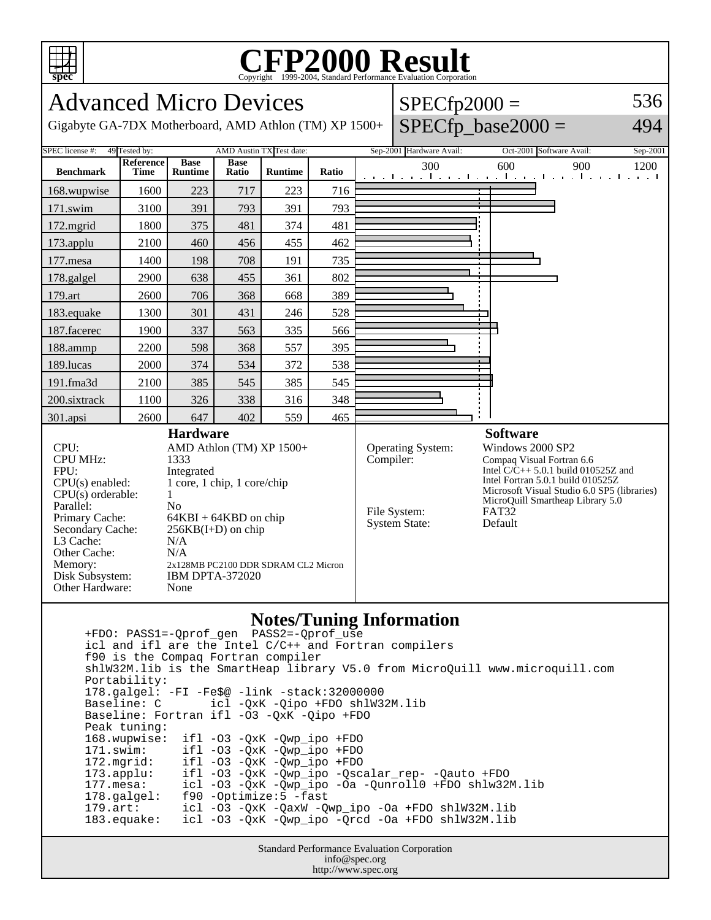

## Copyright ©1999-2004, Standard Performance Evaluation Corporation

Advanced Micro Devices

Gigabyte GA-7DX Motherboard, AMD Athlon (TM) XP 1500+  $\big|$  SPECfp\_base2000 =

| $SPECfp2000 =$         | 536                |
|------------------------|--------------------|
| MDMC <sub>1</sub> 2000 | $\Lambda$ $\Omega$ |

494

| SPEC license #:                                                                                                                                                                                                                                                                                                                                                                                                                                                                                                                        | AMD Austin TX Test date:<br>49 Tested by: |                               |                      | Sep-2001 Hardware Avail:                                               | Oct-2001 Software Avail:<br>Sep-2001                                                                                                                                                                                                                               |                                                                |     |     |      |  |
|----------------------------------------------------------------------------------------------------------------------------------------------------------------------------------------------------------------------------------------------------------------------------------------------------------------------------------------------------------------------------------------------------------------------------------------------------------------------------------------------------------------------------------------|-------------------------------------------|-------------------------------|----------------------|------------------------------------------------------------------------|--------------------------------------------------------------------------------------------------------------------------------------------------------------------------------------------------------------------------------------------------------------------|----------------------------------------------------------------|-----|-----|------|--|
| <b>Benchmark</b>                                                                                                                                                                                                                                                                                                                                                                                                                                                                                                                       | Reference<br>Time                         | <b>Base</b><br><b>Runtime</b> | <b>Base</b><br>Ratio | <b>Runtime</b>                                                         | Ratio                                                                                                                                                                                                                                                              | 300<br>and the medical contract contract condition of the most | 600 | 900 | 1200 |  |
| 168.wupwise                                                                                                                                                                                                                                                                                                                                                                                                                                                                                                                            | 1600                                      | 223                           | 717                  | 223                                                                    | 716                                                                                                                                                                                                                                                                |                                                                |     |     |      |  |
| 171.swim                                                                                                                                                                                                                                                                                                                                                                                                                                                                                                                               | 3100                                      | 391                           | 793                  | 391                                                                    | 793                                                                                                                                                                                                                                                                |                                                                |     |     |      |  |
| 172.mgrid                                                                                                                                                                                                                                                                                                                                                                                                                                                                                                                              | 1800                                      | 375                           | 481                  | 374                                                                    | 481                                                                                                                                                                                                                                                                |                                                                |     |     |      |  |
| 173.applu                                                                                                                                                                                                                                                                                                                                                                                                                                                                                                                              | 2100                                      | 460                           | 456                  | 455                                                                    | 462                                                                                                                                                                                                                                                                |                                                                |     |     |      |  |
| 177.mesa                                                                                                                                                                                                                                                                                                                                                                                                                                                                                                                               | 1400                                      | 198                           | 708                  | 191                                                                    | 735                                                                                                                                                                                                                                                                |                                                                |     |     |      |  |
| 178.galgel                                                                                                                                                                                                                                                                                                                                                                                                                                                                                                                             | 2900                                      | 638                           | 455                  | 361                                                                    | 802                                                                                                                                                                                                                                                                |                                                                |     |     |      |  |
| 179.art                                                                                                                                                                                                                                                                                                                                                                                                                                                                                                                                | 2600                                      | 706                           | 368                  | 668                                                                    | 389                                                                                                                                                                                                                                                                |                                                                |     |     |      |  |
| 183.equake                                                                                                                                                                                                                                                                                                                                                                                                                                                                                                                             | 1300                                      | 301                           | 431                  | 246                                                                    | 528                                                                                                                                                                                                                                                                |                                                                |     |     |      |  |
| 187.facerec                                                                                                                                                                                                                                                                                                                                                                                                                                                                                                                            | 1900                                      | 337                           | 563                  | 335                                                                    | 566                                                                                                                                                                                                                                                                |                                                                |     |     |      |  |
| 188.ammp                                                                                                                                                                                                                                                                                                                                                                                                                                                                                                                               | 2200                                      | 598                           | 368                  | 557                                                                    | 395                                                                                                                                                                                                                                                                |                                                                |     |     |      |  |
| 189.lucas                                                                                                                                                                                                                                                                                                                                                                                                                                                                                                                              | 2000                                      | 374                           | 534                  | 372                                                                    | 538                                                                                                                                                                                                                                                                |                                                                |     |     |      |  |
| 191.fma3d                                                                                                                                                                                                                                                                                                                                                                                                                                                                                                                              | 2100                                      | 385                           | 545                  | 385                                                                    | 545                                                                                                                                                                                                                                                                |                                                                |     |     |      |  |
| 200.sixtrack                                                                                                                                                                                                                                                                                                                                                                                                                                                                                                                           | 1100                                      | 326                           | 338                  | 316                                                                    | 348                                                                                                                                                                                                                                                                |                                                                |     |     |      |  |
| 301.apsi                                                                                                                                                                                                                                                                                                                                                                                                                                                                                                                               | 2600                                      | 647                           | 402                  | 559                                                                    | 465                                                                                                                                                                                                                                                                |                                                                |     |     |      |  |
| <b>Hardware</b><br>CPU:<br>AMD Athlon (TM) XP 1500+<br><b>CPU MHz:</b><br>1333<br>FPU:<br>Integrated<br>1 core, 1 chip, 1 core/chip<br>CPU(s) enabled:<br>$CPU(s)$ orderable:<br>1<br>Parallel:<br>N <sub>0</sub><br>Primary Cache:<br>$64KBI + 64KBD$ on chip<br>Secondary Cache:<br>256KB(I+D) on chip<br>L <sub>3</sub> Cache:<br>N/A<br>Other Cache:<br>N/A<br>Memory:<br>2x128MB PC2100 DDR SDRAM CL2 Micron<br>Disk Subsystem:<br><b>IBM DPTA-372020</b><br>Other Hardware:<br>None                                              |                                           |                               |                      | Operating System:<br>Compiler:<br>File System:<br><b>System State:</b> | <b>Software</b><br>Windows 2000 SP2<br>Compaq Visual Fortran 6.6<br>Intel $\dot{C}/\dot{C}$ ++ 5.0.1 build 010525Z and<br>Intel Fortran 5.0.1 build 010525Z<br>Microsoft Visual Studio 6.0 SP5 (libraries)<br>MicroQuill Smartheap Library 5.0<br>FAT32<br>Default |                                                                |     |     |      |  |
| <b>Notes/Tuning Information</b><br>icl and ifl are the Intel C/C++ and Fortran compilers<br>f90 is the Compaq Fortran compiler<br>shlW32M.lib is the SmartHeap library V5.0 from MicroQuill www.microquill.com<br>Portability:<br>178.galgel: -FI -Fe\$@ -link -stack:32000000<br>Baseline: C<br>icl -QxK -Qipo +FDO shlW32M.lib<br>Baseline: Fortran ifl -03 -QxK -Qipo +FDO<br>Peak tuning:<br>168.wupwise:<br>$ifl$ -03 -QxK -Qwp_ipo +FDO<br>171.swim:<br>$ifl$ -03 -QxK -Qwp_ipo +FDO<br>172.mgrid:<br>ifl -03 -QxK -Qwp_ipo +FDO |                                           |                               |                      |                                                                        |                                                                                                                                                                                                                                                                    |                                                                |     |     |      |  |

Standard Performance Evaluation Corporation info@spec.org http://www.spec.org

 173.applu: ifl -O3 -QxK -Qwp\_ipo -Qscalar\_rep- -Qauto +FDO 177.mesa: icl -O3 -QxK -Qwp\_ipo -Oa -Qunroll0 +FDO shlw32M.lib

 179.art: icl -O3 -QxK -QaxW -Qwp\_ipo -Oa +FDO shlW32M.lib 183.equake: icl -O3 -QxK -Qwp\_ipo -Qrcd -Oa +FDO shlW32M.lib

178.galgel: f90 -Optimize:5 -fast